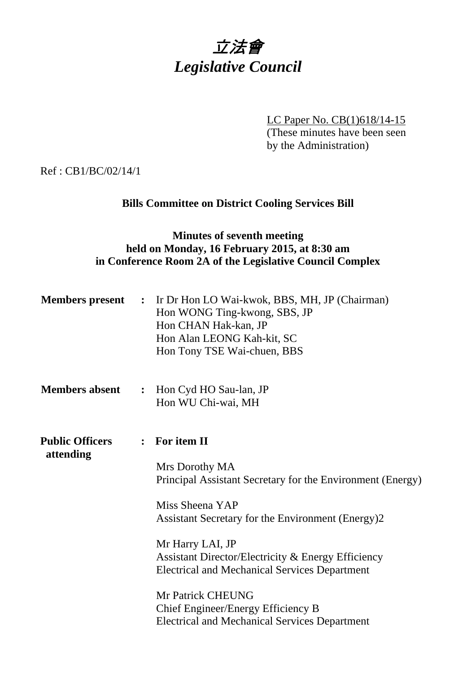

LC Paper No. CB(1)618/14-15 (These minutes have been seen by the Administration)

Ref : CB1/BC/02/14/1

# **Bills Committee on District Cooling Services Bill**

# **Minutes of seventh meeting held on Monday, 16 February 2015, at 8:30 am in Conference Room 2A of the Legislative Council Complex**

| $\ddot{\cdot}$ | Ir Dr Hon LO Wai-kwok, BBS, MH, JP (Chairman)<br>Hon WONG Ting-kwong, SBS, JP<br>Hon CHAN Hak-kan, JP<br>Hon Alan LEONG Kah-kit, SC<br>Hon Tony TSE Wai-chuen, BBS                                                                                                                                                       |
|----------------|--------------------------------------------------------------------------------------------------------------------------------------------------------------------------------------------------------------------------------------------------------------------------------------------------------------------------|
| $\ddot{\cdot}$ | Hon Cyd HO Sau-lan, JP<br>Hon WU Chi-wai, MH                                                                                                                                                                                                                                                                             |
|                | : For item II<br>Mrs Dorothy MA<br>Principal Assistant Secretary for the Environment (Energy)<br>Miss Sheena YAP                                                                                                                                                                                                         |
|                | Assistant Secretary for the Environment (Energy)2<br>Mr Harry LAI, JP<br><b>Assistant Director/Electricity &amp; Energy Efficiency</b><br><b>Electrical and Mechanical Services Department</b><br><b>Mr Patrick CHEUNG</b><br>Chief Engineer/Energy Efficiency B<br><b>Electrical and Mechanical Services Department</b> |
|                |                                                                                                                                                                                                                                                                                                                          |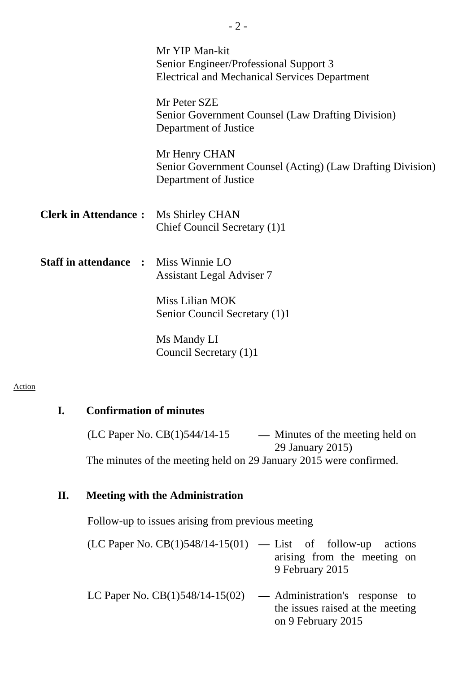|                              | Mr YIP Man-kit<br>Senior Engineer/Professional Support 3<br><b>Electrical and Mechanical Services Department</b> |
|------------------------------|------------------------------------------------------------------------------------------------------------------|
|                              | Mr Peter SZE<br>Senior Government Counsel (Law Drafting Division)<br>Department of Justice                       |
|                              | Mr Henry CHAN<br>Senior Government Counsel (Acting) (Law Drafting Division)<br>Department of Justice             |
| <b>Clerk in Attendance:</b>  | Ms Shirley CHAN<br>Chief Council Secretary (1)1                                                                  |
| <b>Staff in attendance :</b> | Miss Winnie LO<br><b>Assistant Legal Adviser 7</b>                                                               |
|                              | Miss Lilian MOK<br>Senior Council Secretary (1)1                                                                 |
|                              | Ms Mandy LI<br>Council Secretary (1)1                                                                            |

- 2 -

#### Action

### **I. Confirmation of minutes**

(LC Paper No. CB(1)544/14-15 **—** Minutes of the meeting held on 29 January 2015) The minutes of the meeting held on 29 January 2015 were confirmed.

## **II. Meeting with the Administration**

Follow-up to issues arising from previous meeting

- (LC Paper No. CB(1)548/14-15(01) **—** List of follow-up actions arising from the meeting on 9 February 2015
- LC Paper No. CB(1)548/14-15(02) **—** Administration's response to the issues raised at the meeting on 9 February 2015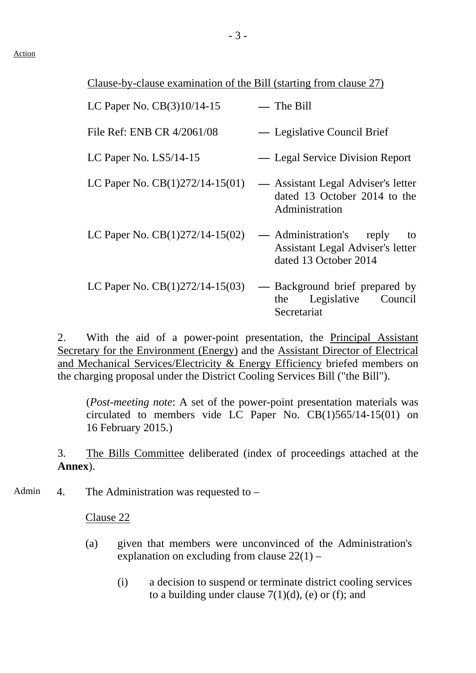Clause-by-clause examination of the Bill (starting from clause 27)

| LC Paper No. CB(3)10/14-15        | $-$ The Bill                                                                                |
|-----------------------------------|---------------------------------------------------------------------------------------------|
| File Ref: ENB CR 4/2061/08        | — Legislative Council Brief                                                                 |
| LC Paper No. $LS5/14-15$          | — Legal Service Division Report                                                             |
| LC Paper No. $CB(1)272/14-15(01)$ | — Assistant Legal Adviser's letter<br>dated 13 October 2014 to the<br>Administration        |
| LC Paper No. $CB(1)272/14-15(02)$ | — Administration's reply<br>to<br>Assistant Legal Adviser's letter<br>dated 13 October 2014 |
| LC Paper No. $CB(1)272/14-15(03)$ | — Background brief prepared by<br>Legislative Council<br>the<br>Secretariat                 |

2. With the aid of a power-point presentation, the Principal Assistant Secretary for the Environment (Energy) and the Assistant Director of Electrical and Mechanical Services/Electricity & Energy Efficiency briefed members on the charging proposal under the District Cooling Services Bill ("the Bill").

(*Post-meeting note*: A set of the power-point presentation materials was circulated to members vide LC Paper No. CB(1)565/14-15(01) on 16 February 2015.)

3. The Bills Committee deliberated (index of proceedings attached at the **Annex**).

Admin 4. The Administration was requested to –

Clause 22

- (a) given that members were unconvinced of the Administration's explanation on excluding from clause  $22(1)$  –
	- (i) a decision to suspend or terminate district cooling services to a building under clause  $7(1)(d)$ , (e) or (f); and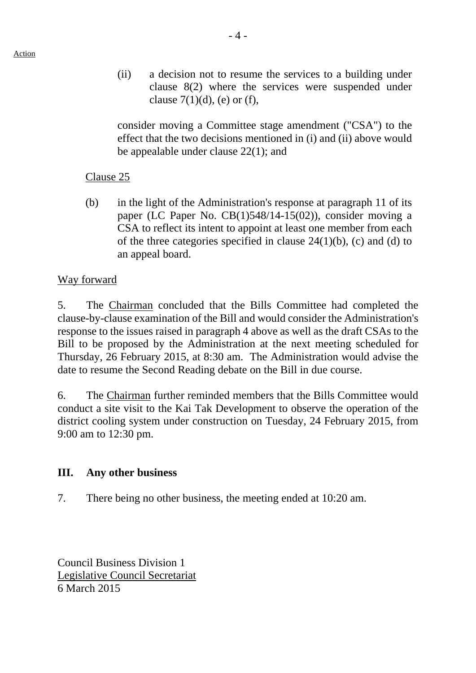consider moving a Committee stage amendment ("CSA") to the effect that the two decisions mentioned in (i) and (ii) above would be appealable under clause 22(1); and

## Clause 25

(b) in the light of the Administration's response at paragraph 11 of its paper (LC Paper No. CB(1)548/14-15(02)), consider moving a CSA to reflect its intent to appoint at least one member from each of the three categories specified in clause  $24(1)(b)$ , (c) and (d) to an appeal board.

### Way forward

5. The Chairman concluded that the Bills Committee had completed the clause-by-clause examination of the Bill and would consider the Administration's response to the issues raised in paragraph 4 above as well as the draft CSAs to the Bill to be proposed by the Administration at the next meeting scheduled for Thursday, 26 February 2015, at 8:30 am. The Administration would advise the date to resume the Second Reading debate on the Bill in due course.

6. The Chairman further reminded members that the Bills Committee would conduct a site visit to the Kai Tak Development to observe the operation of the district cooling system under construction on Tuesday, 24 February 2015, from 9:00 am to 12:30 pm.

#### **III. Any other business**

7. There being no other business, the meeting ended at 10:20 am.

Council Business Division 1 Legislative Council Secretariat 6 March 2015

clause  $7(1)(d)$ , (e) or (f),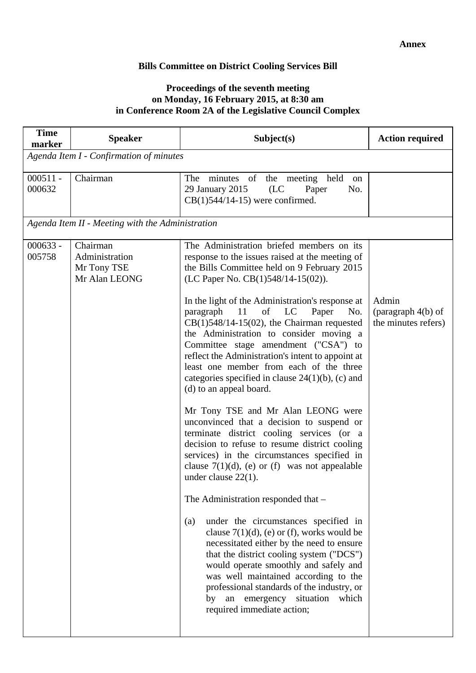#### **Bills Committee on District Cooling Services Bill**

#### **Proceedings of the seventh meeting on Monday, 16 February 2015, at 8:30 am in Conference Room 2A of the Legislative Council Complex**

| <b>Time</b><br>marker | <b>Speaker</b>                                             | Subject(s)                                                                                                                                                                                                                                                                                                                                                                                                                                                                                                                                                                                                                                                                                                                                                                                                                                                                                                                                                                                                                                                                                                                                                                                                                                                                                                                                         | <b>Action required</b>                             |  |
|-----------------------|------------------------------------------------------------|----------------------------------------------------------------------------------------------------------------------------------------------------------------------------------------------------------------------------------------------------------------------------------------------------------------------------------------------------------------------------------------------------------------------------------------------------------------------------------------------------------------------------------------------------------------------------------------------------------------------------------------------------------------------------------------------------------------------------------------------------------------------------------------------------------------------------------------------------------------------------------------------------------------------------------------------------------------------------------------------------------------------------------------------------------------------------------------------------------------------------------------------------------------------------------------------------------------------------------------------------------------------------------------------------------------------------------------------------|----------------------------------------------------|--|
|                       | Agenda Item I - Confirmation of minutes                    |                                                                                                                                                                                                                                                                                                                                                                                                                                                                                                                                                                                                                                                                                                                                                                                                                                                                                                                                                                                                                                                                                                                                                                                                                                                                                                                                                    |                                                    |  |
| $000511 -$<br>000632  | Chairman                                                   | minutes of the meeting held<br>The<br>on<br>29 January 2015<br>(LC)<br>Paper<br>No.<br>$CB(1)544/14-15$ ) were confirmed.                                                                                                                                                                                                                                                                                                                                                                                                                                                                                                                                                                                                                                                                                                                                                                                                                                                                                                                                                                                                                                                                                                                                                                                                                          |                                                    |  |
|                       | Agenda Item II - Meeting with the Administration           |                                                                                                                                                                                                                                                                                                                                                                                                                                                                                                                                                                                                                                                                                                                                                                                                                                                                                                                                                                                                                                                                                                                                                                                                                                                                                                                                                    |                                                    |  |
| $000633 -$<br>005758  | Chairman<br>Administration<br>Mr Tony TSE<br>Mr Alan LEONG | The Administration briefed members on its<br>response to the issues raised at the meeting of<br>the Bills Committee held on 9 February 2015<br>(LC Paper No. CB(1)548/14-15(02)).<br>In the light of the Administration's response at<br>paragraph 11<br>of LC<br>Paper<br>No.<br>$CB(1)548/14-15(02)$ , the Chairman requested<br>the Administration to consider moving a<br>Committee stage amendment ("CSA") to<br>reflect the Administration's intent to appoint at<br>least one member from each of the three<br>categories specified in clause $24(1)(b)$ , (c) and<br>(d) to an appeal board.<br>Mr Tony TSE and Mr Alan LEONG were<br>unconvinced that a decision to suspend or<br>terminate district cooling services (or a<br>decision to refuse to resume district cooling<br>services) in the circumstances specified in<br>clause $7(1)(d)$ , (e) or (f) was not appealable<br>under clause $22(1)$ .<br>The Administration responded that -<br>under the circumstances specified in<br>(a)<br>clause $7(1)(d)$ , (e) or (f), works would be<br>necessitated either by the need to ensure<br>that the district cooling system ("DCS")<br>would operate smoothly and safely and<br>was well maintained according to the<br>professional standards of the industry, or<br>by an emergency situation which<br>required immediate action; | Admin<br>(paragraph 4(b) of<br>the minutes refers) |  |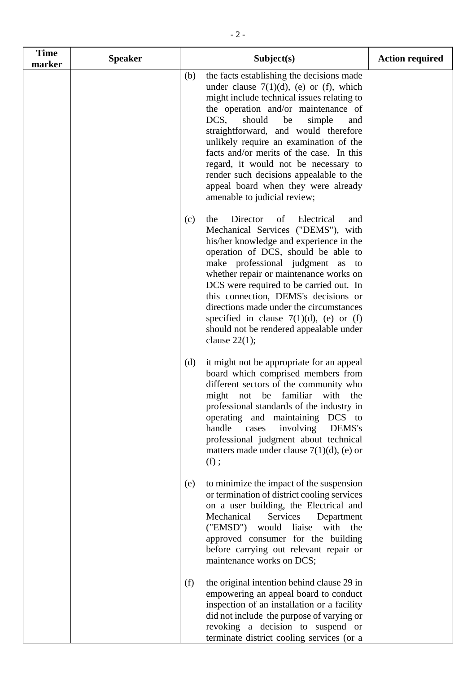| <b>Time</b><br>marker | <b>Speaker</b> | Subject(s)                                                                                                                                                                                                                                                                                                                                                                                                                                                                                                           | <b>Action required</b> |
|-----------------------|----------------|----------------------------------------------------------------------------------------------------------------------------------------------------------------------------------------------------------------------------------------------------------------------------------------------------------------------------------------------------------------------------------------------------------------------------------------------------------------------------------------------------------------------|------------------------|
|                       |                | the facts establishing the decisions made<br>(b)<br>under clause $7(1)(d)$ , (e) or (f), which<br>might include technical issues relating to<br>the operation and/or maintenance of<br>DCS,<br>should<br>be<br>simple<br>and<br>straightforward, and would therefore<br>unlikely require an examination of the<br>facts and/or merits of the case. In this<br>regard, it would not be necessary to<br>render such decisions appealable to the<br>appeal board when they were already<br>amenable to judicial review; |                        |
|                       |                | Director<br>Electrical<br>the<br>(c)<br>of<br>and<br>Mechanical Services ("DEMS"), with<br>his/her knowledge and experience in the<br>operation of DCS, should be able to<br>make professional judgment as to<br>whether repair or maintenance works on<br>DCS were required to be carried out. In<br>this connection, DEMS's decisions or<br>directions made under the circumstances<br>specified in clause $7(1)(d)$ , (e) or (f)<br>should not be rendered appealable under<br>clause $22(1)$ ;                   |                        |
|                       |                | it might not be appropriate for an appeal<br>(d)<br>board which comprised members from<br>different sectors of the community who<br>not be familiar<br>might<br>with<br>the<br>professional standards of the industry in<br>operating and maintaining DCS to<br>handle<br>involving<br>DEMS's<br>cases<br>professional judgment about technical<br>matters made under clause $7(1)(d)$ , (e) or<br>(f);                                                                                                              |                        |
|                       |                | to minimize the impact of the suspension<br>(e)<br>or termination of district cooling services<br>on a user building, the Electrical and<br>Mechanical<br>Services<br>Department<br>("EMSD") would liaise<br>with<br>the<br>approved consumer for the building<br>before carrying out relevant repair or<br>maintenance works on DCS;                                                                                                                                                                                |                        |
|                       |                | the original intention behind clause 29 in<br>(f)<br>empowering an appeal board to conduct<br>inspection of an installation or a facility<br>did not include the purpose of varying or<br>revoking a decision to suspend or<br>terminate district cooling services (or a                                                                                                                                                                                                                                             |                        |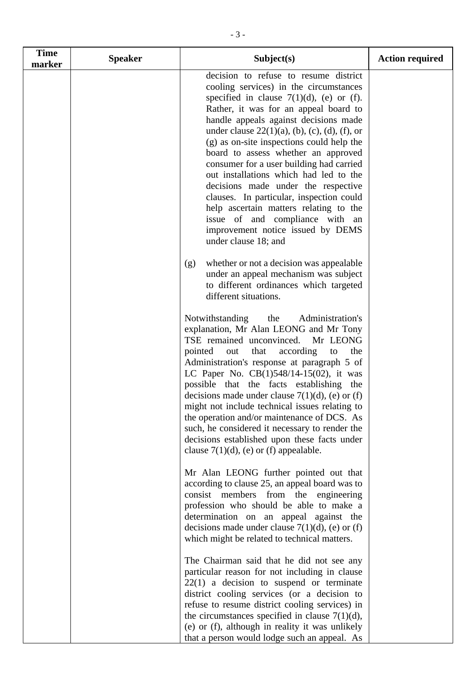| <b>Time</b><br>marker | <b>Speaker</b> | Subject(s)                                                                                                                                                                                                                                                                                                                                                                                                                                                                                                                                                                                                                                                                  | <b>Action required</b> |
|-----------------------|----------------|-----------------------------------------------------------------------------------------------------------------------------------------------------------------------------------------------------------------------------------------------------------------------------------------------------------------------------------------------------------------------------------------------------------------------------------------------------------------------------------------------------------------------------------------------------------------------------------------------------------------------------------------------------------------------------|------------------------|
|                       |                | decision to refuse to resume district<br>cooling services) in the circumstances<br>specified in clause $7(1)(d)$ , (e) or (f).<br>Rather, it was for an appeal board to<br>handle appeals against decisions made<br>under clause $22(1)(a)$ , (b), (c), (d), (f), or<br>(g) as on-site inspections could help the<br>board to assess whether an approved<br>consumer for a user building had carried<br>out installations which had led to the<br>decisions made under the respective<br>clauses. In particular, inspection could<br>help ascertain matters relating to the<br>issue of and compliance with an<br>improvement notice issued by DEMS<br>under clause 18; and |                        |
|                       |                | whether or not a decision was appealable<br>(g)<br>under an appeal mechanism was subject<br>to different ordinances which targeted<br>different situations.                                                                                                                                                                                                                                                                                                                                                                                                                                                                                                                 |                        |
|                       |                | Notwithstanding<br>Administration's<br>the<br>explanation, Mr Alan LEONG and Mr Tony<br>TSE remained unconvinced.<br>Mr LEONG<br>pointed<br>that<br>according<br>out<br>to<br>the<br>Administration's response at paragraph 5 of<br>LC Paper No. $CB(1)548/14-15(02)$ , it was<br>possible that the facts establishing the<br>decisions made under clause $7(1)(d)$ , (e) or (f)<br>might not include technical issues relating to<br>the operation and/or maintenance of DCS. As<br>such, he considered it necessary to render the<br>decisions established upon these facts under<br>clause $7(1)(d)$ , (e) or (f) appealable.                                            |                        |
|                       |                | Mr Alan LEONG further pointed out that<br>according to clause 25, an appeal board was to<br>consist members from the engineering<br>profession who should be able to make a<br>determination on an appeal against the<br>decisions made under clause $7(1)(d)$ , (e) or (f)<br>which might be related to technical matters.                                                                                                                                                                                                                                                                                                                                                 |                        |
|                       |                | The Chairman said that he did not see any<br>particular reason for not including in clause<br>$22(1)$ a decision to suspend or terminate<br>district cooling services (or a decision to<br>refuse to resume district cooling services) in<br>the circumstances specified in clause $7(1)(d)$ ,<br>(e) or (f), although in reality it was unlikely<br>that a person would lodge such an appeal. As                                                                                                                                                                                                                                                                           |                        |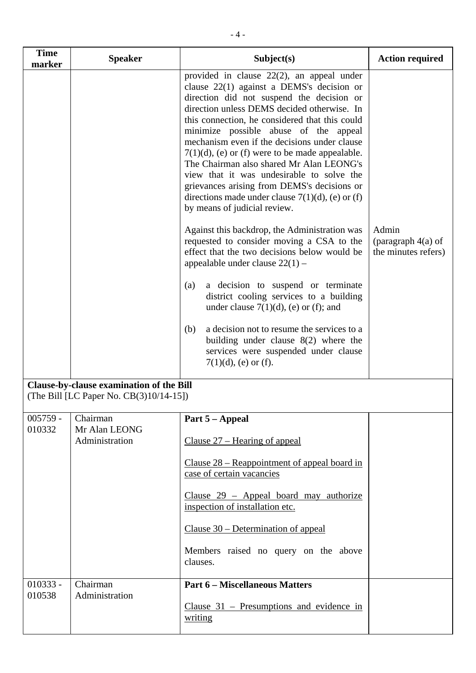| <b>Time</b><br>marker | <b>Speaker</b>                                                                      | Subject(s)                                                                                                                                                                                                                                                                                                                                                                                                                                                                                                                                                                                                                                                                                                                                                                                                                                                                                                                                                                                                                                                                                                    | <b>Action required</b>                               |
|-----------------------|-------------------------------------------------------------------------------------|---------------------------------------------------------------------------------------------------------------------------------------------------------------------------------------------------------------------------------------------------------------------------------------------------------------------------------------------------------------------------------------------------------------------------------------------------------------------------------------------------------------------------------------------------------------------------------------------------------------------------------------------------------------------------------------------------------------------------------------------------------------------------------------------------------------------------------------------------------------------------------------------------------------------------------------------------------------------------------------------------------------------------------------------------------------------------------------------------------------|------------------------------------------------------|
|                       |                                                                                     | provided in clause 22(2), an appeal under<br>clause $22(1)$ against a DEMS's decision or<br>direction did not suspend the decision or<br>direction unless DEMS decided otherwise. In<br>this connection, he considered that this could<br>minimize possible abuse of the appeal<br>mechanism even if the decisions under clause<br>$7(1)(d)$ , (e) or (f) were to be made appealable.<br>The Chairman also shared Mr Alan LEONG's<br>view that it was undesirable to solve the<br>grievances arising from DEMS's decisions or<br>directions made under clause $7(1)(d)$ , (e) or (f)<br>by means of judicial review.<br>Against this backdrop, the Administration was<br>requested to consider moving a CSA to the<br>effect that the two decisions below would be<br>appealable under clause $22(1)$ -<br>a decision to suspend or terminate<br>(a)<br>district cooling services to a building<br>under clause $7(1)(d)$ , (e) or (f); and<br>a decision not to resume the services to a<br>(b)<br>building under clause $8(2)$ where the<br>services were suspended under clause<br>$7(1)(d)$ , (e) or (f). | Admin<br>(paragraph $4(a)$ of<br>the minutes refers) |
|                       | Clause-by-clause examination of the Bill<br>(The Bill [LC Paper No. CB(3)10/14-15]) |                                                                                                                                                                                                                                                                                                                                                                                                                                                                                                                                                                                                                                                                                                                                                                                                                                                                                                                                                                                                                                                                                                               |                                                      |
| $005759 -$            | Chairman                                                                            | Part 5 - Appeal                                                                                                                                                                                                                                                                                                                                                                                                                                                                                                                                                                                                                                                                                                                                                                                                                                                                                                                                                                                                                                                                                               |                                                      |
| 010332                | Mr Alan LEONG<br>Administration                                                     | Clause $27$ – Hearing of appeal                                                                                                                                                                                                                                                                                                                                                                                                                                                                                                                                                                                                                                                                                                                                                                                                                                                                                                                                                                                                                                                                               |                                                      |
|                       |                                                                                     | Clause $28$ – Reappointment of appeal board in<br>case of certain vacancies                                                                                                                                                                                                                                                                                                                                                                                                                                                                                                                                                                                                                                                                                                                                                                                                                                                                                                                                                                                                                                   |                                                      |
|                       |                                                                                     | Clause $29$ – Appeal board may authorize<br>inspection of installation etc.                                                                                                                                                                                                                                                                                                                                                                                                                                                                                                                                                                                                                                                                                                                                                                                                                                                                                                                                                                                                                                   |                                                      |
|                       |                                                                                     | Clause $30$ – Determination of appeal                                                                                                                                                                                                                                                                                                                                                                                                                                                                                                                                                                                                                                                                                                                                                                                                                                                                                                                                                                                                                                                                         |                                                      |
|                       |                                                                                     | Members raised no query on the above<br>clauses.                                                                                                                                                                                                                                                                                                                                                                                                                                                                                                                                                                                                                                                                                                                                                                                                                                                                                                                                                                                                                                                              |                                                      |
| $010333 -$<br>010538  | Chairman<br>Administration                                                          | <b>Part 6 - Miscellaneous Matters</b>                                                                                                                                                                                                                                                                                                                                                                                                                                                                                                                                                                                                                                                                                                                                                                                                                                                                                                                                                                                                                                                                         |                                                      |
|                       |                                                                                     | Clause $31$ – Presumptions and evidence in<br>writing                                                                                                                                                                                                                                                                                                                                                                                                                                                                                                                                                                                                                                                                                                                                                                                                                                                                                                                                                                                                                                                         |                                                      |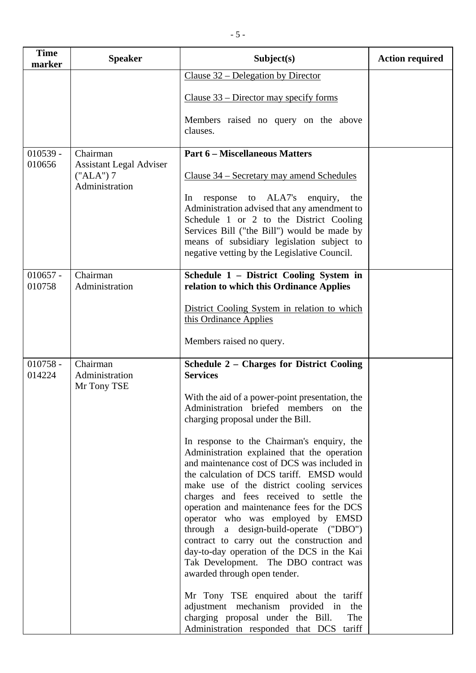| <b>Time</b><br>marker | <b>Speaker</b>                                                  | Subject(s)                                                                                                                                                                            | <b>Action required</b> |
|-----------------------|-----------------------------------------------------------------|---------------------------------------------------------------------------------------------------------------------------------------------------------------------------------------|------------------------|
|                       |                                                                 | Clause 32 – Delegation by Director                                                                                                                                                    |                        |
|                       |                                                                 | Clause $33$ – Director may specify forms                                                                                                                                              |                        |
|                       |                                                                 | Members raised no query on the above<br>clauses.                                                                                                                                      |                        |
| $010539 -$            | Chairman                                                        | <b>Part 6 - Miscellaneous Matters</b>                                                                                                                                                 |                        |
| 010656                | <b>Assistant Legal Adviser</b><br>$("ALA")$ 7<br>Administration | Clause 34 – Secretary may amend Schedules                                                                                                                                             |                        |
|                       |                                                                 | response to ALA7's<br>enquiry,<br>In<br>the<br>Administration advised that any amendment to<br>Schedule 1 or 2 to the District Cooling                                                |                        |
|                       |                                                                 | Services Bill ("the Bill") would be made by<br>means of subsidiary legislation subject to                                                                                             |                        |
|                       |                                                                 | negative vetting by the Legislative Council.                                                                                                                                          |                        |
| $010657 -$            | Chairman                                                        | Schedule 1 - District Cooling System in                                                                                                                                               |                        |
| 010758                | Administration                                                  | relation to which this Ordinance Applies                                                                                                                                              |                        |
|                       |                                                                 | District Cooling System in relation to which<br>this Ordinance Applies                                                                                                                |                        |
|                       |                                                                 | Members raised no query.                                                                                                                                                              |                        |
| $010758 -$<br>014224  | Chairman<br>Administration<br>Mr Tony TSE                       | <b>Schedule 2 - Charges for District Cooling</b><br><b>Services</b>                                                                                                                   |                        |
|                       |                                                                 | With the aid of a power-point presentation, the<br>Administration briefed members on the<br>charging proposal under the Bill.                                                         |                        |
|                       |                                                                 | In response to the Chairman's enquiry, the<br>Administration explained that the operation<br>and maintenance cost of DCS was included in<br>the calculation of DCS tariff. EMSD would |                        |
|                       |                                                                 | make use of the district cooling services<br>charges and fees received to settle the<br>operation and maintenance fees for the DCS<br>operator who was employed by EMSD               |                        |
|                       |                                                                 | through a design-build-operate ("DBO")<br>contract to carry out the construction and<br>day-to-day operation of the DCS in the Kai                                                    |                        |
|                       |                                                                 | Tak Development. The DBO contract was<br>awarded through open tender.                                                                                                                 |                        |
|                       |                                                                 | Mr Tony TSE enquired about the tariff<br>adjustment mechanism provided in<br>the<br>charging proposal under the Bill.<br>The                                                          |                        |
|                       |                                                                 | Administration responded that DCS tariff                                                                                                                                              |                        |